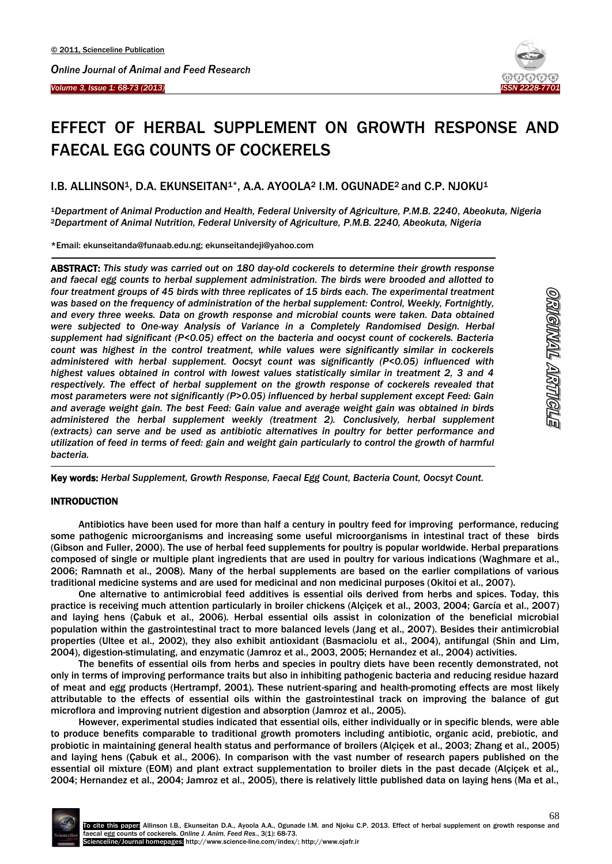



# EFFECT OF HERBAL SUPPLEMENT ON GROWTH RESPONSE AND FAECAL EGG COUNTS OF COCKERELS

## I.B. ALLINSON<sup>1</sup>, D.A. EKUNSEITAN<sup>1\*</sup>, A.A. AYOOLA<sup>2</sup> I.M. OGUNADE<sup>2</sup> and C.P. NJOKU<sup>1</sup>

<sup>1</sup>*Department of Animal Production and Health, Federal University of Agriculture, P.M.B. 2240, Abeokuta, Nigeria* <sup>2</sup>*Department of Animal Nutrition, Federal University of Agriculture, P.M.B. 2240, Abeokuta, Nigeria*

\*Email: [ekunseitanda@funaab.edu.ng;](mailto:ekunseitanda@funaab.edu.ng) ekunseitandeji@yahoo.com

ABSTRACT: *This study was carried out on 180 day-old cockerels to determine their growth response and faecal egg counts to herbal supplement administration. The birds were brooded and allotted to four treatment groups of 45 birds with three replicates of 15 birds each. The experimental treatment was based on the frequency of administration of the herbal supplement: Control, Weekly, Fortnightly, and every three weeks. Data on growth response and microbial counts were taken. Data obtained were subjected to One-way Analysis of Variance in a Completely Randomised Design. Herbal supplement had significant (P<0.05) effect on the bacteria and oocyst count of cockerels. Bacteria count was highest in the control treatment, while values were significantly similar in cockerels administered with herbal supplement. Oocsyt count was significantly (P<0.05) influenced with highest values obtained in control with lowest values statistically similar in treatment 2, 3 and 4 respectively. The effect of herbal supplement on the growth response of cockerels revealed that most parameters were not significantly (P>0.05) influenced by herbal supplement except Feed: Gain and average weight gain. The best Feed: Gain value and average weight gain was obtained in birds administered the herbal supplement weekly (treatment 2). Conclusively, herbal supplement (extracts) can serve and be used as antibiotic alternatives in poultry for better performance and utilization of feed in terms of feed: gain and weight gain particularly to control the growth of harmful bacteria.*

Key words: *Herbal Supplement, Growth Response, Faecal Egg Count, Bacteria Count, Oocsyt Count.* 

## **INTRODUCTION**

-

 $\overline{\phantom{a}}$ 

Antibiotics have been used for more than half a century in poultry feed for improving performance, reducing some pathogenic microorganisms and increasing some useful microorganisms in intestinal tract of these birds (Gibson and Fuller, 2000). The use of herbal feed supplements for poultry is popular worldwide. Herbal preparations composed of single or multiple plant ingredients that are used in poultry for various indications [\(Waghmare et al.,](file:///G:/AppData/Roaming/Microsoft/AppData/Roaming/Microsoft/AppData/Roaming/Microsoft/Downloads/Evaluation%20of%20Safety%20of%20Naturaliv(SUP)TM%20(_SUP)Liquid%20and%20Zist(SUP)آ®(_SUP)%20Liquid%20on%20Acute%20Oral%20Exposure%20in%20Rats.htm%23538073_ja) [2006;](file:///G:/AppData/Roaming/Microsoft/AppData/Roaming/Microsoft/AppData/Roaming/Microsoft/Downloads/Evaluation%20of%20Safety%20of%20Naturaliv(SUP)TM%20(_SUP)Liquid%20and%20Zist(SUP)آ®(_SUP)%20Liquid%20on%20Acute%20Oral%20Exposure%20in%20Rats.htm%23538073_ja) [Ramnath et al.,](file:///G:/AppData/Roaming/Microsoft/AppData/Roaming/Microsoft/AppData/Roaming/Microsoft/Downloads/Evaluation%20of%20Safety%20of%20Naturaliv(SUP)TM%20(_SUP)Liquid%20and%20Zist(SUP)آ®(_SUP)%20Liquid%20on%20Acute%20Oral%20Exposure%20in%20Rats.htm%23538029_ja) 2008). Many of the herbal supplements are based on the earlier compilations of various traditional medicine systems and are used for medicinal and non medicinal purposes [\(Okitoi et al.,](file:///G:/AppData/Roaming/Microsoft/AppData/Roaming/Microsoft/AppData/Roaming/Microsoft/Downloads/Evaluation%20of%20Safety%20of%20Naturaliv(SUP)TM%20(_SUP)Liquid%20and%20Zist(SUP)آ®(_SUP)%20Liquid%20on%20Acute%20Oral%20Exposure%20in%20Rats.htm%231105_op) 2007).

One alternative to antimicrobial feed additives is essential oils derived from herbs and spices. Today, this practice is receiving much attention particularly in broiler chickens (Alçiçek et al., 2003, 2004; García et al., 2007) and laying hens (Çabuk et al., 2006). Herbal essential oils assist in colonization of the beneficial microbial population within the gastrointestinal tract to more balanced levels (Jang et al., 2007). Besides their antimicrobial properties (Ultee et al., 2002), they also exhibit antioxidant (Basmaciolu et al., 2004), antifungal (Shin and Lim, 2004), digestion-stimulating, and enzymatic (Jamroz et al., 2003, 2005; Hernandez et al., 2004) activities.

The benefits of essential oils from herbs and species in poultry diets have been recently demonstrated, not only in terms of improving performance traits but also in inhibiting pathogenic bacteria and reducing residue hazard of meat and egg products (Hertrampf, 2001). These nutrient-sparing and health-promoting effects are most likely attributable to the effects of essential oils within the gastrointestinal track on improving the balance of gut microflora and improving nutrient digestion and absorption (Jamroz et al., 2005).

However, experimental studies indicated that essential oils, either individually or in specific blends, were able to produce benefits comparable to traditional growth promoters including antibiotic, organic acid, prebiotic, and probiotic in maintaining general health status and performance of broilers (Alçiçek et al., 2003; Zhang et al., 2005) and laying hens (Çabuk et al., 2006). In comparison with the vast number of research papers published on the essential oil mixture (EOM) and plant extract supplementation to broiler diets in the past decade (Alçiçek et al., 2004; Hernandez et al., 2004; Jamroz et al., 2005), there is relatively little published data on laying hens (Ma et al.,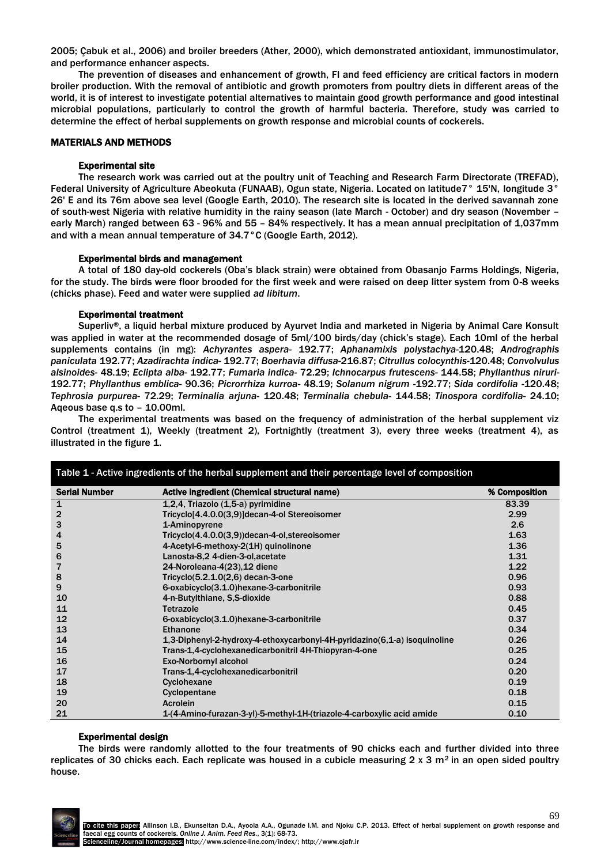2005; Çabuk et al., 2006) and broiler breeders (Ather, 2000), which demonstrated antioxidant, immunostimulator, and performance enhancer aspects.

The prevention of diseases and enhancement of growth, FI and feed efficiency are critical factors in modern broiler production. With the removal of antibiotic and growth promoters from poultry diets in different areas of the world, it is of interest to investigate potential alternatives to maintain good growth performance and good intestinal microbial populations, particularly to control the growth of harmful bacteria. Therefore, study was carried to determine the effect of herbal supplements on growth response and microbial counts of cockerels.

## MATERIALS AND METHODS

## Experimental site

The research work was carried out at the poultry unit of Teaching and Research Farm Directorate (TREFAD), Federal University of Agriculture Abeokuta (FUNAAB), Ogun state, Nigeria. Located on latitude7° 15'N, longitude 3° 26' E and its 76m above sea level (Google Earth, 2010). The research site is located in the derived savannah zone of south-west Nigeria with relative humidity in the rainy season (late March - October) and dry season (November – early March) ranged between 63 - 96% and 55 – 84% respectively. It has a mean annual precipitation of 1,037mm and with a mean annual temperature of 34.7°C (Google Earth, 2012).

## Experimental birds and management

A total of 180 day-old cockerels (Oba's black strain) were obtained from Obasanjo Farms Holdings, Nigeria, for the study. The birds were floor brooded for the first week and were raised on deep litter system from 0-8 weeks (chicks phase). Feed and water were supplied *ad libitum*.

## Experimental treatment

Superliv®, a liquid herbal mixture produced by Ayurvet India and marketed in Nigeria by Animal Care Konsult was applied in water at the recommended dosage of 5ml/100 birds/day (chick's stage). Each 10ml of the herbal supplements contains (in mg): *Achyrantes aspera-* 192.77; *Aphanamixis polystachya-*120.48; *Andrographis paniculata* 192.77; *Azadirachta indica*- 192.77; *Boerhavia diffusa*-216.87; *Citrullus colocynthis*-120.48; *Convolvulus alsinoides*- 48.19; *Eclipta alba*- 192.77; *Fumaria indica-* 72.29; *Ichnocarpus frutescens*- 144.58; *Phyllanthus niruri*-192.77; *Phyllanthus emblica-* 90.36; *Picrorrhiza kurroa-* 48.19; *Solanum nigrum -*192.77; *Sida cordifolia -*120.48; *Tephrosia purpurea*- 72.29; *Terminalia arjuna-* 120.48; *Terminalia chebula-* 144.58; *Tinospora cordifolia*- 24.10; Aqeous base q.s to – 10.00ml.

The experimental treatments was based on the frequency of administration of the herbal supplement viz Control (treatment 1), Weekly (treatment 2), Fortnightly (treatment 3), every three weeks (treatment 4), as illustrated in the figure 1.

| Table 1 - Active ingredients of the herbal supplement and their percentage level of composition |                                                                           |               |  |  |
|-------------------------------------------------------------------------------------------------|---------------------------------------------------------------------------|---------------|--|--|
| <b>Serial Number</b>                                                                            | Active ingredient (Chemical structural name)                              | % Composition |  |  |
| $\mathbf{1}$                                                                                    | 1,2,4, Triazolo (1,5-a) pyrimidine                                        | 83.39         |  |  |
| $\overline{2}$                                                                                  | Tricyclo[4.4.0.0(3,9)]decan-4-ol Stereoisomer                             | 2.99          |  |  |
| 3                                                                                               | 1-Aminopyrene                                                             | 2.6           |  |  |
| 4                                                                                               | Tricyclo(4.4.0.0(3,9))decan-4-ol, stereoisomer                            | 1.63          |  |  |
| 5                                                                                               | 4-Acetyl-6-methoxy-2(1H) quinolinone                                      | 1.36          |  |  |
| 6                                                                                               | Lanosta-8,2 4-dien-3-ol, acetate                                          | 1.31          |  |  |
| 7                                                                                               | 24-Noroleana-4(23), 12 diene                                              | 1.22          |  |  |
| 8                                                                                               | Tricyclo $(5.2.1.0(2.6)$ decan-3-one                                      | 0.96          |  |  |
| 9                                                                                               | 6-oxabicyclo(3.1.0)hexane-3-carbonitrile                                  | 0.93          |  |  |
| 10                                                                                              | 4-n-Butylthiane, S.S-dioxide                                              | 0.88          |  |  |
| 11                                                                                              | Tetrazole                                                                 | 0.45          |  |  |
| 12                                                                                              | 6-oxabicyclo(3.1.0)hexane-3-carbonitrile                                  | 0.37          |  |  |
| 13                                                                                              | Ethanone                                                                  | 0.34          |  |  |
| 14                                                                                              | 1,3-Diphenyl-2-hydroxy-4-ethoxycarbonyl-4H-pyridazino(6,1-a) isoquinoline | 0.26          |  |  |
| 15                                                                                              | Trans-1,4-cyclohexanedicarbonitril 4H-Thiopyran-4-one                     | 0.25          |  |  |
| 16                                                                                              | <b>Exo-Norbornyl alcohol</b>                                              | 0.24          |  |  |
| 17                                                                                              | Trans-1,4-cyclohexanedicarbonitril                                        | 0.20          |  |  |
| 18                                                                                              | Cyclohexane                                                               | 0.19          |  |  |
| 19                                                                                              | Cyclopentane                                                              | 0.18          |  |  |
| 20                                                                                              | <b>Acrolein</b>                                                           | 0.15          |  |  |
| 21                                                                                              | 1-(4-Amino-furazan-3-yl)-5-methyl-1H-(triazole-4-carboxylic acid amide    | 0.10          |  |  |

#### Experimental design

The birds were randomly allotted to the four treatments of 90 chicks each and further divided into three replicates of 30 chicks each. Each replicate was housed in a cubicle measuring  $2 \times 3$  m<sup>2</sup> in an open sided poultry house.

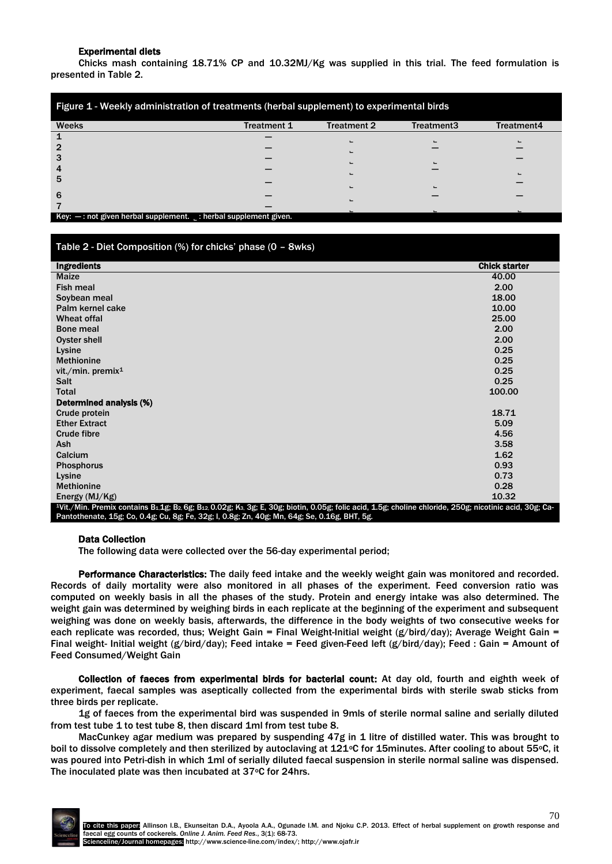## Experimental diets

Chicks mash containing 18.71% CP and 10.32MJ/Kg was supplied in this trial. The feed formulation is presented in Table 2.

| Figure 1 - Weekly administration of treatments (herbal supplement) to experimental birds |             |                    |            |                |  |
|------------------------------------------------------------------------------------------|-------------|--------------------|------------|----------------|--|
| <b>Weeks</b>                                                                             | Treatment 1 | <b>Treatment 2</b> | Treatment3 | Treatment4     |  |
|                                                                                          |             |                    |            |                |  |
|                                                                                          |             |                    |            |                |  |
|                                                                                          |             |                    |            |                |  |
|                                                                                          |             |                    |            | $\blacksquare$ |  |
| 5                                                                                        |             |                    |            |                |  |
| 6                                                                                        |             |                    |            |                |  |
|                                                                                          |             |                    |            |                |  |
| $Key: -: not given herbal supplement. \therefore$ herbal supplement.                     |             |                    |            |                |  |

## Table 2 - Diet Composition (%) for chicks' phase (0 – 8wks)

| <b>Ingredients</b>                                                                                                                                                                                                     | <b>Chick starter</b> |
|------------------------------------------------------------------------------------------------------------------------------------------------------------------------------------------------------------------------|----------------------|
| <b>Maize</b>                                                                                                                                                                                                           | 40.00                |
| <b>Fish meal</b>                                                                                                                                                                                                       | 2.00                 |
| Soybean meal                                                                                                                                                                                                           | 18.00                |
| Palm kernel cake                                                                                                                                                                                                       | 10.00                |
| Wheat offal                                                                                                                                                                                                            | 25.00                |
| Bone meal                                                                                                                                                                                                              | 2.00                 |
| Oyster shell                                                                                                                                                                                                           | 2.00                 |
| Lysine                                                                                                                                                                                                                 | 0.25                 |
| <b>Methionine</b>                                                                                                                                                                                                      | 0.25                 |
| vit./min. premix $1$                                                                                                                                                                                                   | 0.25                 |
| <b>Salt</b>                                                                                                                                                                                                            | 0.25                 |
|                                                                                                                                                                                                                        |                      |
| <b>Total</b>                                                                                                                                                                                                           | 100.00               |
| Determined analysis (%)                                                                                                                                                                                                |                      |
| Crude protein                                                                                                                                                                                                          | 18.71                |
| <b>Ether Extract</b>                                                                                                                                                                                                   | 5.09                 |
| <b>Crude fibre</b>                                                                                                                                                                                                     | 4.56                 |
| Ash                                                                                                                                                                                                                    | 3.58                 |
| Calcium                                                                                                                                                                                                                | 1.62                 |
| <b>Phosphorus</b>                                                                                                                                                                                                      | 0.93                 |
| Lysine                                                                                                                                                                                                                 | 0.73                 |
| <b>Methionine</b>                                                                                                                                                                                                      | 0.28                 |
| Energy $(MJ/Kg)$                                                                                                                                                                                                       | 10.32                |
| <sup>1</sup> Vit./Min. Premix contains B <sub>1.</sub> 1g; B <sub>2</sub> , 6g; B <sub>12,</sub> 0.02g; K <sub>3</sub> , 3g; E, 30g; biotin, 0.05g; folic acid, 1.5g; choline chloride, 250g; nicotinic acid, 30g; Ca- |                      |
| Pantothenate, 15g; Co, 0.4g; Cu, 8g; Fe, 32g; I, 0.8g; Zn, 40g; Mn, 64g; Se, 0.16g, BHT, 5g.                                                                                                                           |                      |

#### Data Collection

The following data were collected over the 56-day experimental period;

Performance Characteristics: The daily feed intake and the weekly weight gain was monitored and recorded. Records of daily mortality were also monitored in all phases of the experiment. Feed conversion ratio was computed on weekly basis in all the phases of the study. Protein and energy intake was also determined. The weight gain was determined by weighing birds in each replicate at the beginning of the experiment and subsequent weighing was done on weekly basis, afterwards, the difference in the body weights of two consecutive weeks for each replicate was recorded, thus; Weight Gain = Final Weight-Initial weight (g/bird/day); Average Weight Gain = Final weight- Initial weight (g/bird/day); Feed intake = Feed given-Feed left (g/bird/day); Feed : Gain = Amount of Feed Consumed/Weight Gain

Collection of faeces from experimental birds for bacterial count: At day old, fourth and eighth week of experiment, faecal samples was aseptically collected from the experimental birds with sterile swab sticks from three birds per replicate.

1g of faeces from the experimental bird was suspended in 9mls of sterile normal saline and serially diluted from test tube 1 to test tube 8, then discard 1ml from test tube 8.

MacCunkey agar medium was prepared by suspending 47g in 1 litre of distilled water. This was brought to boil to dissolve completely and then sterilized by autoclaving at 121°C for 15minutes. After cooling to about 55°C, it was poured into Petri-dish in which 1ml of serially diluted faecal suspension in sterile normal saline was dispensed. The inoculated plate was then incubated at 37°C for 24hrs.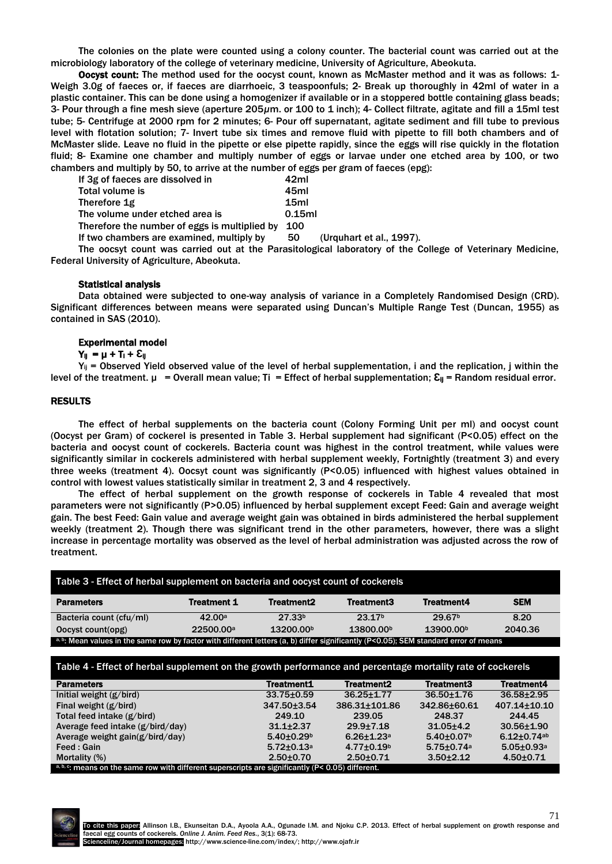The colonies on the plate were counted using a colony counter. The bacterial count was carried out at the microbiology laboratory of the college of veterinary medicine, University of Agriculture, Abeokuta.

Oocyst count: The method used for the oocyst count, known as McMaster method and it was as follows: 1- Weigh 3.0g of faeces or, if faeces are diarrhoeic, 3 teaspoonfuls; 2- Break up thoroughly in 42ml of water in a plastic container. This can be done using a homogenizer if available or in a stoppered bottle containing glass beads; 3- Pour through a fine mesh sieve (aperture 205*µ*m. or 100 to 1 inch); 4- Collect filtrate, agitate and fill a 15ml test tube; 5- Centrifuge at 2000 rpm for 2 minutes; 6- Pour off supernatant, agitate sediment and fill tube to previous level with flotation solution; 7- Invert tube six times and remove fluid with pipette to fill both chambers and of McMaster slide. Leave no fluid in the pipette or else pipette rapidly, since the eggs will rise quickly in the flotation fluid; 8- Examine one chamber and multiply number of eggs or larvae under one etched area by 100, or two chambers and multiply by 50, to arrive at the number of eggs per gram of faeces (epg):

| If 3g of faeces are dissolved in              | 42ml             |
|-----------------------------------------------|------------------|
| Total volume is                               | 45ml             |
| Therefore 1g                                  | 15 <sub>ml</sub> |
| The volume under etched area is               | 0.15ml           |
| Therefore the number of eggs is multiplied by | <b>100</b>       |
|                                               |                  |

If two chambers are examined, multiply by 50 (Urquhart et al., 1997).

The oocsyt count was carried out at the Parasitological laboratory of the College of Veterinary Medicine, Federal University of Agriculture, Abeokuta.

#### Statistical analysis

Data obtained were subjected to one-way analysis of variance in a Completely Randomised Design (CRD). Significant differences between means were separated using Duncan's Multiple Range Test (Duncan, 1955) as contained in SAS (2010).

#### Experimental model

## $Y_{\parallel} = \mu + T_{\parallel} + \Sigma_{\parallel}$

 $Y_{ii}$  = Observed Yield observed value of the level of herbal supplementation, i and the replication, j within the level of the treatment.  $\mu$  = Overall mean value; Ti = Effect of herbal supplementation;  $\mathcal{E}_{\parallel}$  = Random residual error.

## RESULTS

The effect of herbal supplements on the bacteria count (Colony Forming Unit per ml) and oocyst count (Oocyst per Gram) of cockerel is presented in Table 3. Herbal supplement had significant (P<0.05) effect on the bacteria and oocyst count of cockerels. Bacteria count was highest in the control treatment, while values were significantly similar in cockerels administered with herbal supplement weekly, Fortnightly (treatment 3) and every three weeks (treatment 4). Oocsyt count was significantly (P<0.05) influenced with highest values obtained in control with lowest values statistically similar in treatment 2, 3 and 4 respectively.

The effect of herbal supplement on the growth response of cockerels in Table 4 revealed that most parameters were not significantly (P>0.05) influenced by herbal supplement except Feed: Gain and average weight gain. The best Feed: Gain value and average weight gain was obtained in birds administered the herbal supplement weekly (treatment 2). Though there was significant trend in the other parameters, however, there was a slight increase in percentage mortality was observed as the level of herbal administration was adjusted across the row of treatment.

| Table 3 - Effect of herbal supplement on bacteria and oocyst count of cockerels                                                      |                       |                        |                       |                       |            |
|--------------------------------------------------------------------------------------------------------------------------------------|-----------------------|------------------------|-----------------------|-----------------------|------------|
| <b>Parameters</b>                                                                                                                    | <b>Treatment 1</b>    | Treatment <sub>2</sub> | Treatment3            | <b>Treatment4</b>     | <b>SEM</b> |
| Bacteria count (cfu/ml)                                                                                                              | 42.00a                | 27.33 <sup>b</sup>     | 23.17 <sub>b</sub>    | 29.67 <sup>b</sup>    | 8.20       |
| Oocyst count(opg)                                                                                                                    | 22500.00 <sup>a</sup> | 13200.00 <sup>b</sup>  | 13800.00 <sup>b</sup> | 13900.00 <sup>b</sup> | 2040.36    |
| a, b: Mean values in the same row by factor with different letters (a, b) differ significantly (P<0.05); SEM standard error of means |                       |                        |                       |                       |            |

## Table 4 - Effect of herbal supplement on the growth performance and percentage mortality rate of cockerels

| <b>Parameters</b>                | Treatment1                   | <b>Treatment2</b>          | <b>Treatment3</b>            | <b>Treatment4</b>            |
|----------------------------------|------------------------------|----------------------------|------------------------------|------------------------------|
| Initial weight $(g/bird)$        | $33.75 \pm 0.59$             | $36.25 + 1.77$             | $36.50 + 1.76$               | $36.58 + 2.95$               |
| Final weight $(g/bird)$          | $347.50 \pm 3.54$            | 386.31+101.86              | 342.86±60.61                 | $407.14 \pm 10.10$           |
| Total feed intake (g/bird)       | 249.10                       | 239.05                     | 248.37                       | 244.45                       |
| Average feed intake (g/bird/day) | $31.1 + 2.37$                | $29.9 + 7.18$              | $31.05 + 4.2$                | $30.56 \pm 1.90$             |
| Average weight gain(g/bird/day)  | $5.40 \pm 0.29$ <sup>b</sup> | $6.26 + 1.23$ <sup>a</sup> | $5.40 \pm 0.07$ <sup>b</sup> | $6.12 \pm 0.74$ ab           |
| Feed : Gain                      | $5.72 \pm 0.13$ <sup>a</sup> | $4.77 \pm 0.19^b$          | $5.75 \pm 0.74$ <sup>a</sup> | $5.05 \pm 0.93$ <sup>a</sup> |
| Mortality (%)                    | $2.50 + 0.70$                | $2.50 + 0.71$              | $3.50 + 2.12$                | $4.50 + 0.71$                |

 $b, c$ : means on the same row with different superscripts are significantly (P< 0.05) different.

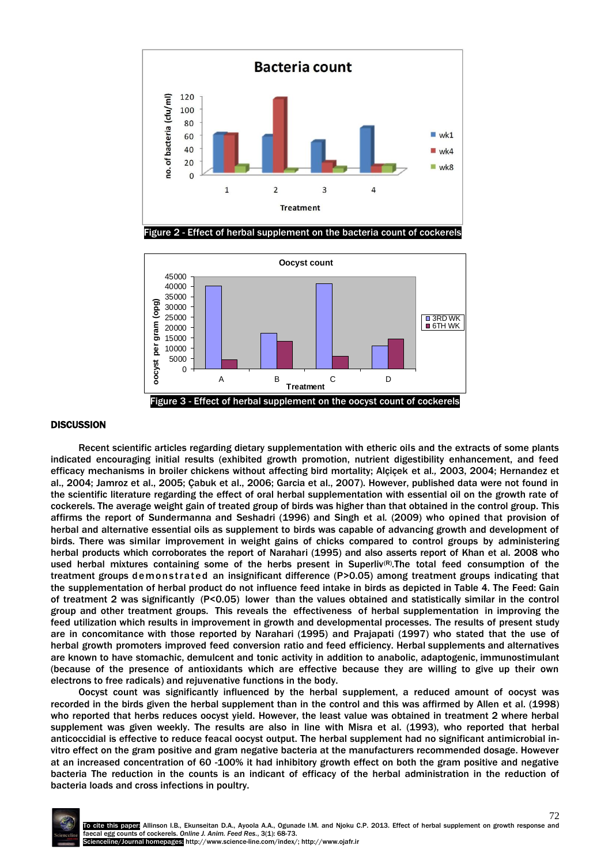



#### **DISCUSSION**

Recent scientific articles regarding dietary supplementation with etheric oils and the extracts of some plants indicated encouraging initial results (exhibited growth promotion, nutrient digestibility enhancement, and feed efficacy mechanisms in broiler chickens without affecting bird mortality; Alçiçek et al*.,* 2003, 2004; Hernandez et al., 2004; Jamroz et al., 2005; Çabuk et al., 2006; Garcia et al., 2007). However, published data were not found in the scientific literature regarding the effect of oral herbal supplementation with essential oil on the growth rate of cockerels. The average weight gain of treated group of birds was higher than that obtained in the control group. This affirms the report of Sundermanna and Seshadri (1996) and Singh et al*.* (2009) who opined that provision of herbal and alternative essential oils as supplement to birds was capable of advancing growth and development of birds. There was similar improvement in weight gains of chicks compared to control groups by administering herbal products which corroborates the report of Narahari (1995) and also asserts report of Khan et al. 2008 who used herbal mixtures containing some of the herbs present in Superliv<sup>(R)</sup>. The total feed consumption of the treatment groups demonstrated an insignificant difference (P>0.05) among treatment groups indicating that the supplementation of herbal product do not influence feed intake in birds as depicted in Table 4. The Feed: Gain of treatment 2 was significantly (P<0.05) lower than the values obtained and statistically similar in the control group and other treatment groups. This reveals the effectiveness of herbal supplementation in improving the feed utilization which results in improvement in growth and developmental processes. The results of present study are in concomitance with those reported by Narahari (1995) and Prajapati (1997) who stated that the use of herbal growth promoters improved feed conversion ratio and feed efficiency. Herbal supplements and alternatives are known to have stomachic, demulcent and tonic activity in addition to anabolic, adaptogenic, immunostimulant (because of the presence of antioxidants which are effective because they are willing to give up their own electrons to free radicals) and rejuvenative functions in the body.

Oocyst count was significantly influenced by the herbal supplement, a reduced amount of oocyst was recorded in the birds given the herbal supplement than in the control and this was affirmed by Allen et al. (1998) who reported that herbs reduces oocyst yield. However, the least value was obtained in treatment 2 where herbal supplement was given weekly. The results are also in line with Misra et al. (1993), who reported that herbal anticoccidial is effective to reduce feacal oocyst output. The herbal supplement had no significant antimicrobial invitro effect on the gram positive and gram negative bacteria at the manufacturers recommended dosage. However at an increased concentration of 60 -100% it had inhibitory growth effect on both the gram positive and negative bacteria The reduction in the counts is an indicant of efficacy of the herbal administration in the reduction of bacteria loads and cross infections in poultry.